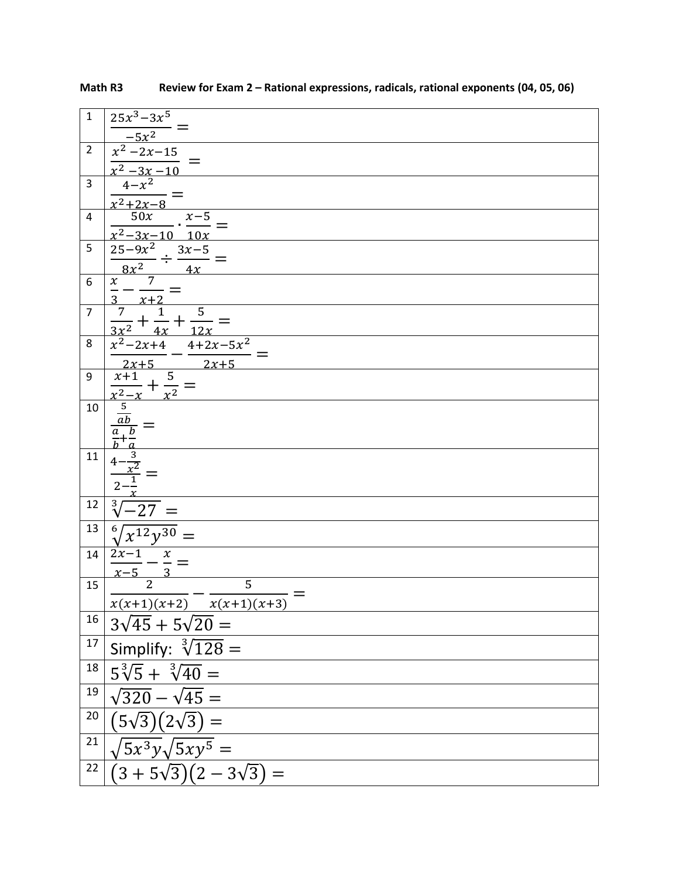| $\mathbf{1}$   | $25x^3 - 3x^5$                                                                                            |
|----------------|-----------------------------------------------------------------------------------------------------------|
|                | $-5x^2$                                                                                                   |
| $\overline{2}$ | $\frac{x^2-2x-15}{x^2-3x-10}$                                                                             |
|                |                                                                                                           |
| $\overline{3}$ | $4 - x^2$                                                                                                 |
|                | $\frac{x^2+2x-8}{50x}$<br>$\frac{x-5}{1}$                                                                 |
| 4              | $\frac{x^2-3x-10}{10x}$                                                                                   |
| 5              |                                                                                                           |
|                | $\frac{25-9x^2}{8x^2} \div \frac{3x-5}{4x} =$                                                             |
| 6              |                                                                                                           |
|                | $\frac{x+2}{x+2}$                                                                                         |
| $\overline{7}$ | $\frac{\frac{7}{2}}{3x^2} + \frac{1}{4x} + \frac{5}{12x} =$<br>$\frac{x^2 - 2x + 4}{x^2 - 4 + 2x - 5x^2}$ |
|                |                                                                                                           |
| 8              |                                                                                                           |
| 9              | $\begin{array}{c c}\n\overline{2x+5} \\ \hline\nx+1 \\ \end{array}$<br>$2x+5$<br>5                        |
|                | $+\frac{1}{x^2}$                                                                                          |
| 10             | $rac{5}{ab}$                                                                                              |
|                |                                                                                                           |
|                |                                                                                                           |
| 11             | $\frac{4-\frac{3}{x^2}}{2-\frac{1}{x}}$                                                                   |
|                |                                                                                                           |
|                |                                                                                                           |
| 12             | $\sqrt{-27}$ =                                                                                            |
| 13             | $\sqrt[6]{x^{12}y^{30}}$                                                                                  |
| 14             | $2x - 1$<br>$\boldsymbol{\chi}$                                                                           |
|                |                                                                                                           |
| 15             | $\overline{2}$<br>$\overline{5}$                                                                          |
|                | $x(x+1)(x+2)$ $x(x+1)(x+3)$                                                                               |
| 16             | $3\sqrt{45} + 5\sqrt{20} =$                                                                               |
| 17             | Simplify: $\sqrt[3]{128}$ =                                                                               |
|                | $18\vert 5\sqrt[3]{5} + \sqrt[3]{40} =$                                                                   |
| 19             | $\sqrt{320} - \sqrt{45} =$                                                                                |
| 20             | $(5\sqrt{3})(2\sqrt{3}) =$                                                                                |
| 21             | $\sqrt{5x^3y}\sqrt{5xy^5} =$                                                                              |
| 22             | $(3+5\sqrt{3})(2-3\sqrt{3}) =$                                                                            |

| Math R3 |  | Review for Exam 2 - Rational expressions, radicals, rational exponents (04, 05, 06) |  |
|---------|--|-------------------------------------------------------------------------------------|--|
|---------|--|-------------------------------------------------------------------------------------|--|